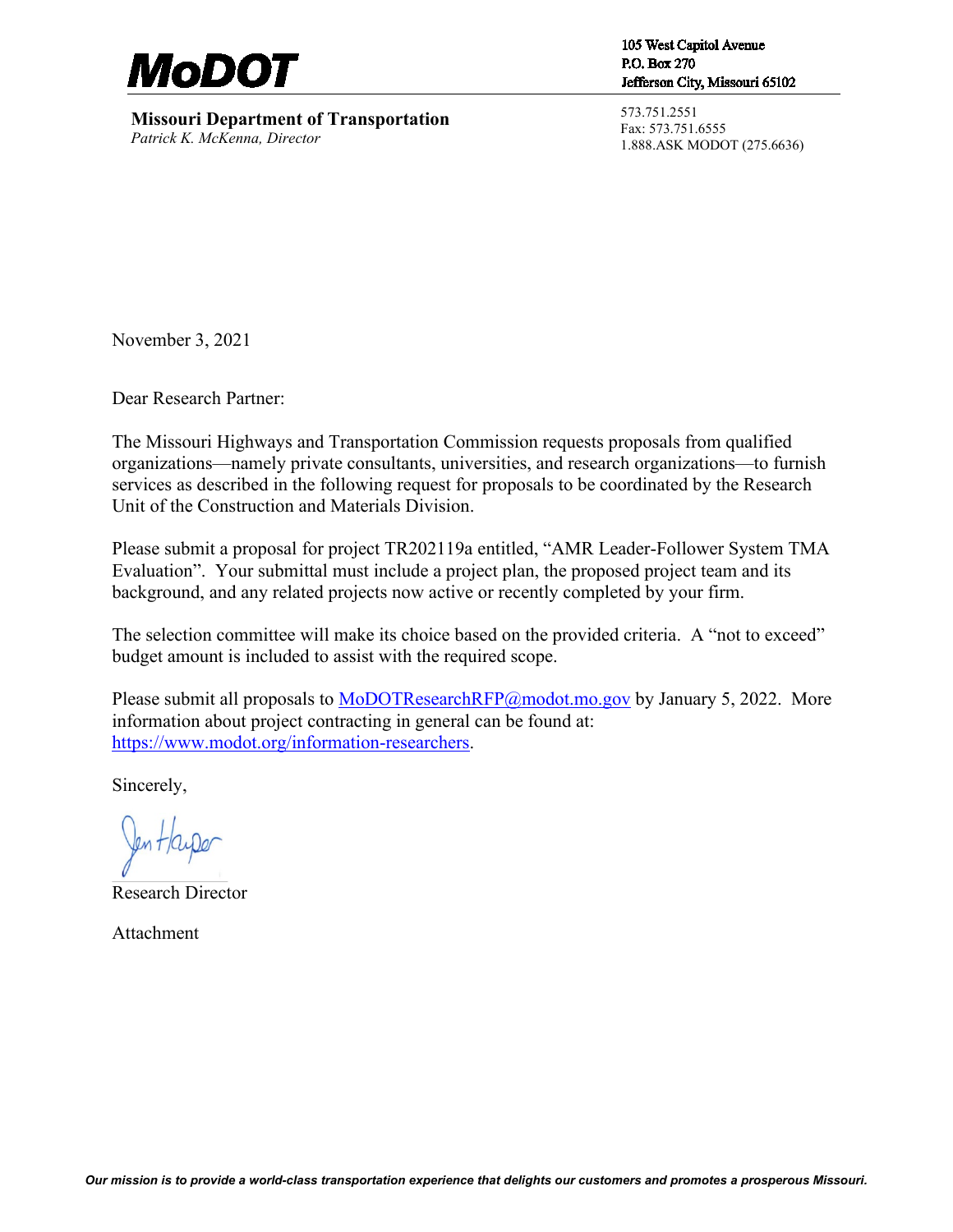

**Missouri Department of Transportation** *Patrick K. McKenna, Director*

105 West Capitol Avenue P.O. Box 270 Jefferson City, Missouri 65102

573.751.2551 Fax: 573.751.6555 1.888.ASK MODOT (275.6636)

November 3, 2021

Dear Research Partner:

The Missouri Highways and Transportation Commission requests proposals from qualified organizations—namely private consultants, universities, and research organizations—to furnish services as described in the following request for proposals to be coordinated by the Research Unit of the Construction and Materials Division.

Please submit a proposal for project TR202119a entitled, "AMR Leader-Follower System TMA Evaluation". Your submittal must include a project plan, the proposed project team and its background, and any related projects now active or recently completed by your firm.

The selection committee will make its choice based on the provided criteria. A "not to exceed" budget amount is included to assist with the required scope.

Please submit all proposals to [MoDOTResearchRFP@modot.mo.gov](mailto:MoDOTResearchRFP@modot.mo.gov) by January 5, 2022. More information about project contracting in general can be found at: [https://www.modot.org/information-researchers.](https://www.modot.org/information-researchers)

Sincerely,

Jen Hayper

Research Director

Attachment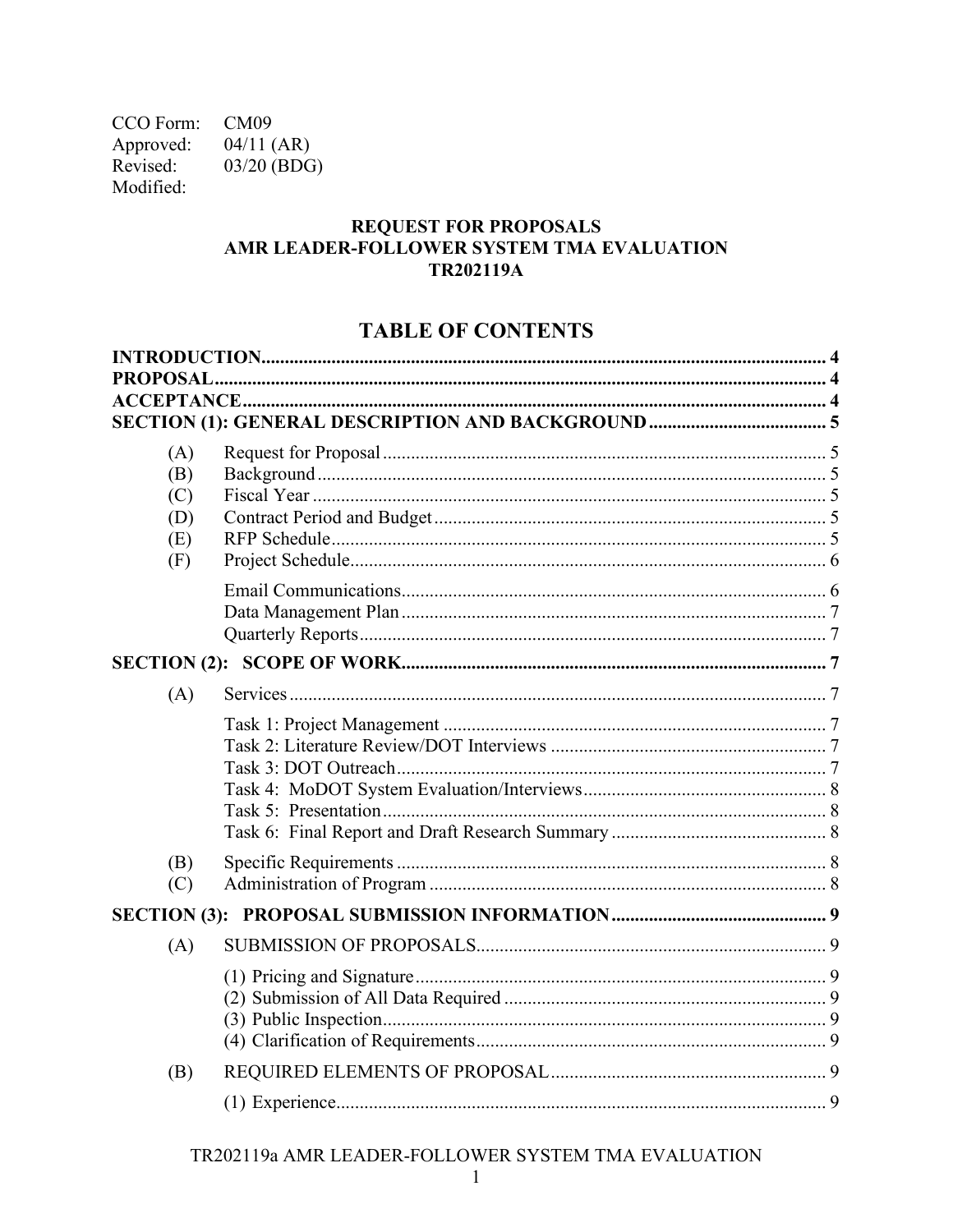CCO Form: CM09 Approved:  $04/11$  (AR) Revised: 03/20 (BDG) Modified:

### **REQUEST FOR PROPOSALS** AMR LEADER-FOLLOWER SYSTEM TMA EVALUATION **TR202119A**

## **TABLE OF CONTENTS**

|  | <b>PROPOSAL</b>   |  |  |
|--|-------------------|--|--|
|  |                   |  |  |
|  |                   |  |  |
|  | (A)<br>(B)<br>(C) |  |  |
|  | (D)               |  |  |
|  | (E)               |  |  |
|  | (F)               |  |  |
|  |                   |  |  |
|  |                   |  |  |
|  | (A)               |  |  |
|  |                   |  |  |
|  | (B)<br>(C)        |  |  |
|  |                   |  |  |
|  | (A)               |  |  |
|  |                   |  |  |
|  | (B)               |  |  |
|  |                   |  |  |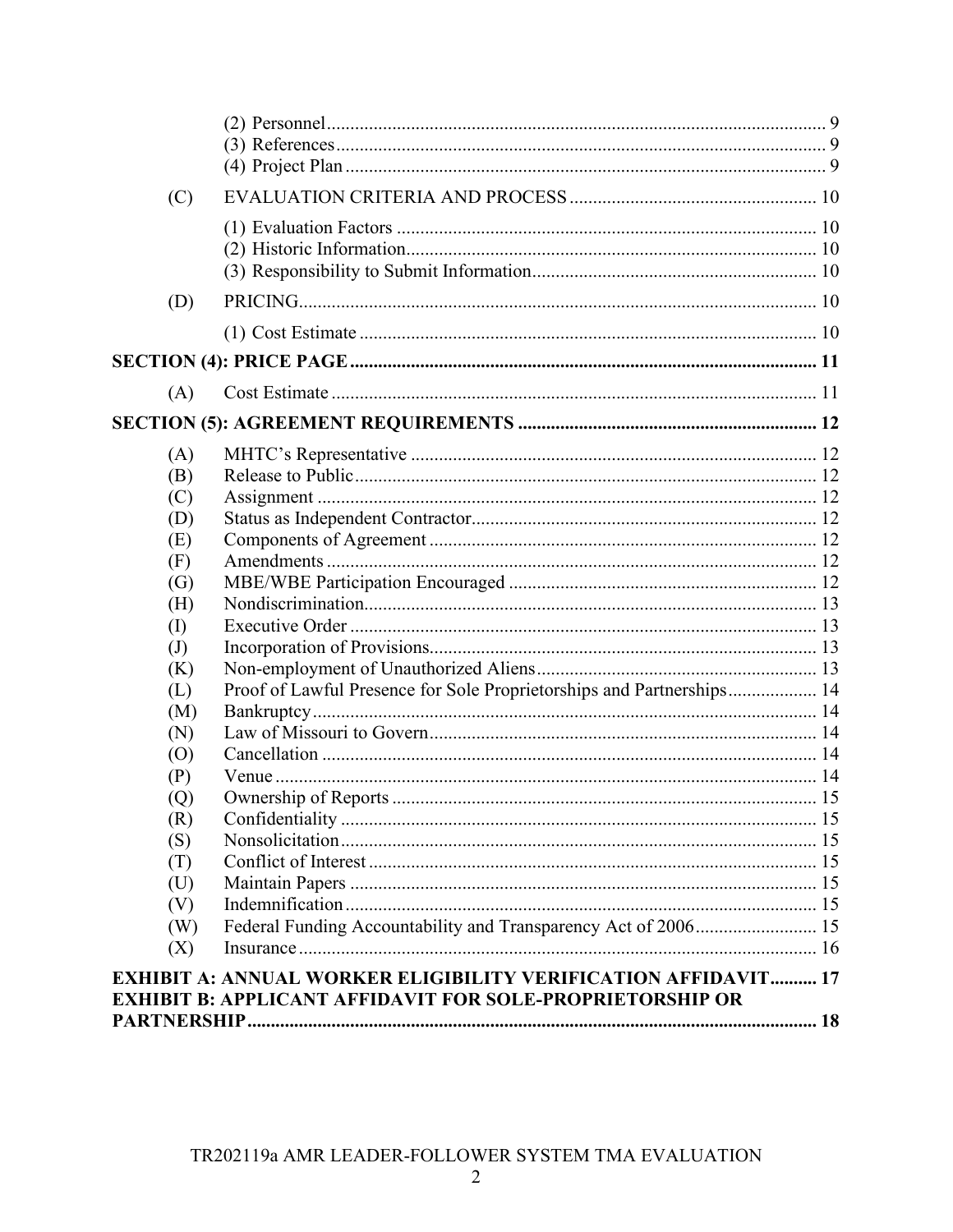| (C)          |                                                                                                                                           |  |
|--------------|-------------------------------------------------------------------------------------------------------------------------------------------|--|
|              |                                                                                                                                           |  |
| (D)          |                                                                                                                                           |  |
|              |                                                                                                                                           |  |
|              |                                                                                                                                           |  |
| (A)          |                                                                                                                                           |  |
|              |                                                                                                                                           |  |
| (A)          |                                                                                                                                           |  |
| (B)          |                                                                                                                                           |  |
| (C)          |                                                                                                                                           |  |
| (D)          |                                                                                                                                           |  |
| (E)          |                                                                                                                                           |  |
| (F)          |                                                                                                                                           |  |
| (G)          |                                                                                                                                           |  |
| (H)          |                                                                                                                                           |  |
| $\rm (I)$    |                                                                                                                                           |  |
| $\mathrm{J}$ |                                                                                                                                           |  |
| (K)          |                                                                                                                                           |  |
| (L)          | Proof of Lawful Presence for Sole Proprietorships and Partnerships 14                                                                     |  |
| (M)          |                                                                                                                                           |  |
| (N)          |                                                                                                                                           |  |
| (O)          |                                                                                                                                           |  |
| (P)          |                                                                                                                                           |  |
| (Q)          |                                                                                                                                           |  |
| (R)          |                                                                                                                                           |  |
| (S)          |                                                                                                                                           |  |
| (T)          |                                                                                                                                           |  |
| (U)          |                                                                                                                                           |  |
| (V)          |                                                                                                                                           |  |
| (W)          | Federal Funding Accountability and Transparency Act of 2006 15                                                                            |  |
| (X)          |                                                                                                                                           |  |
|              | <b>EXHIBIT A: ANNUAL WORKER ELIGIBILITY VERIFICATION AFFIDAVIT 17</b><br><b>EXHIBIT B: APPLICANT AFFIDAVIT FOR SOLE-PROPRIETORSHIP OR</b> |  |
|              |                                                                                                                                           |  |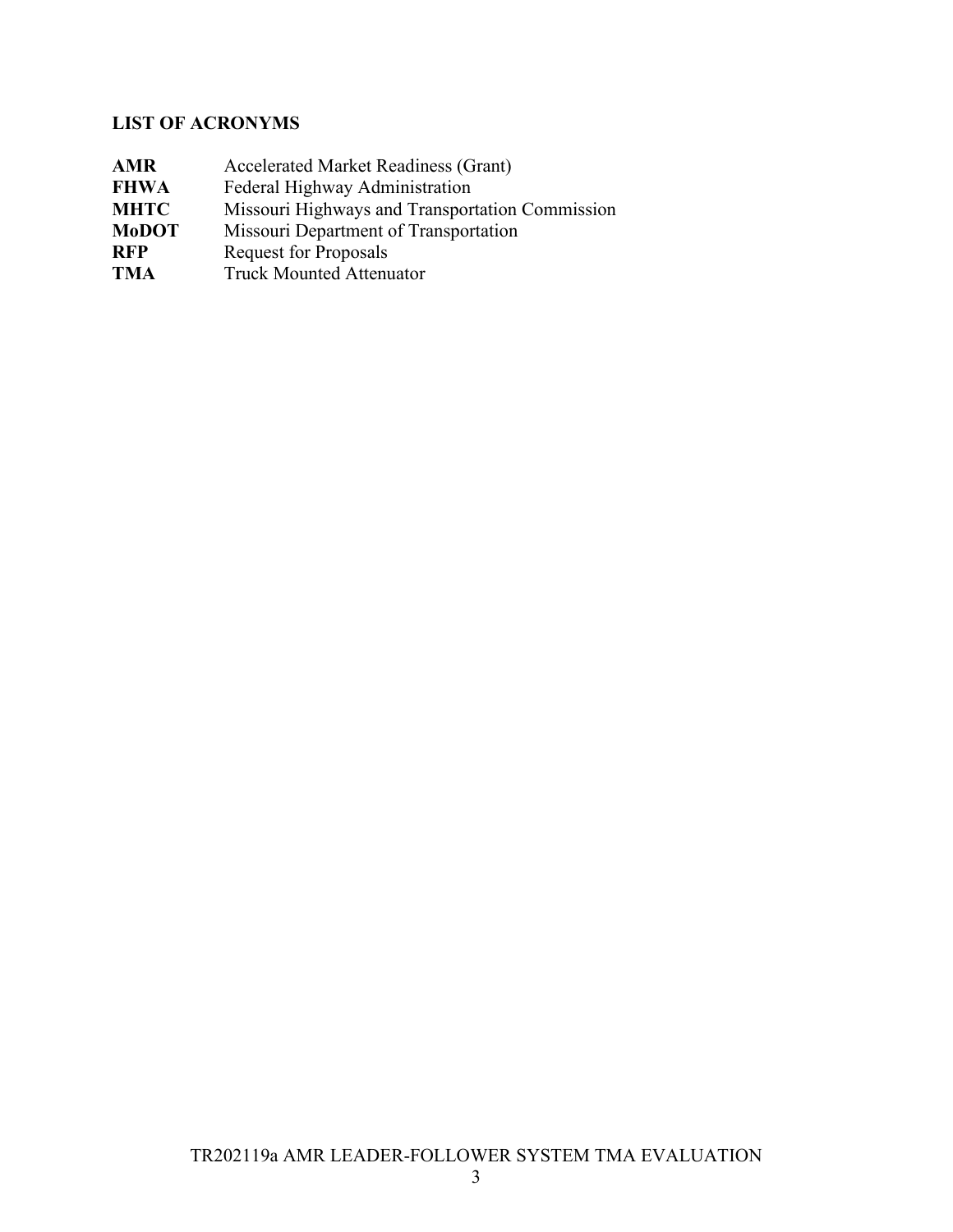# **LIST OF ACRONYMS**

| <b>AMR</b>   | <b>Accelerated Market Readiness (Grant)</b>     |
|--------------|-------------------------------------------------|
| <b>FHWA</b>  | Federal Highway Administration                  |
| <b>MHTC</b>  | Missouri Highways and Transportation Commission |
| <b>MoDOT</b> | Missouri Department of Transportation           |
| <b>RFP</b>   | <b>Request for Proposals</b>                    |
| <b>TMA</b>   | <b>Truck Mounted Attenuator</b>                 |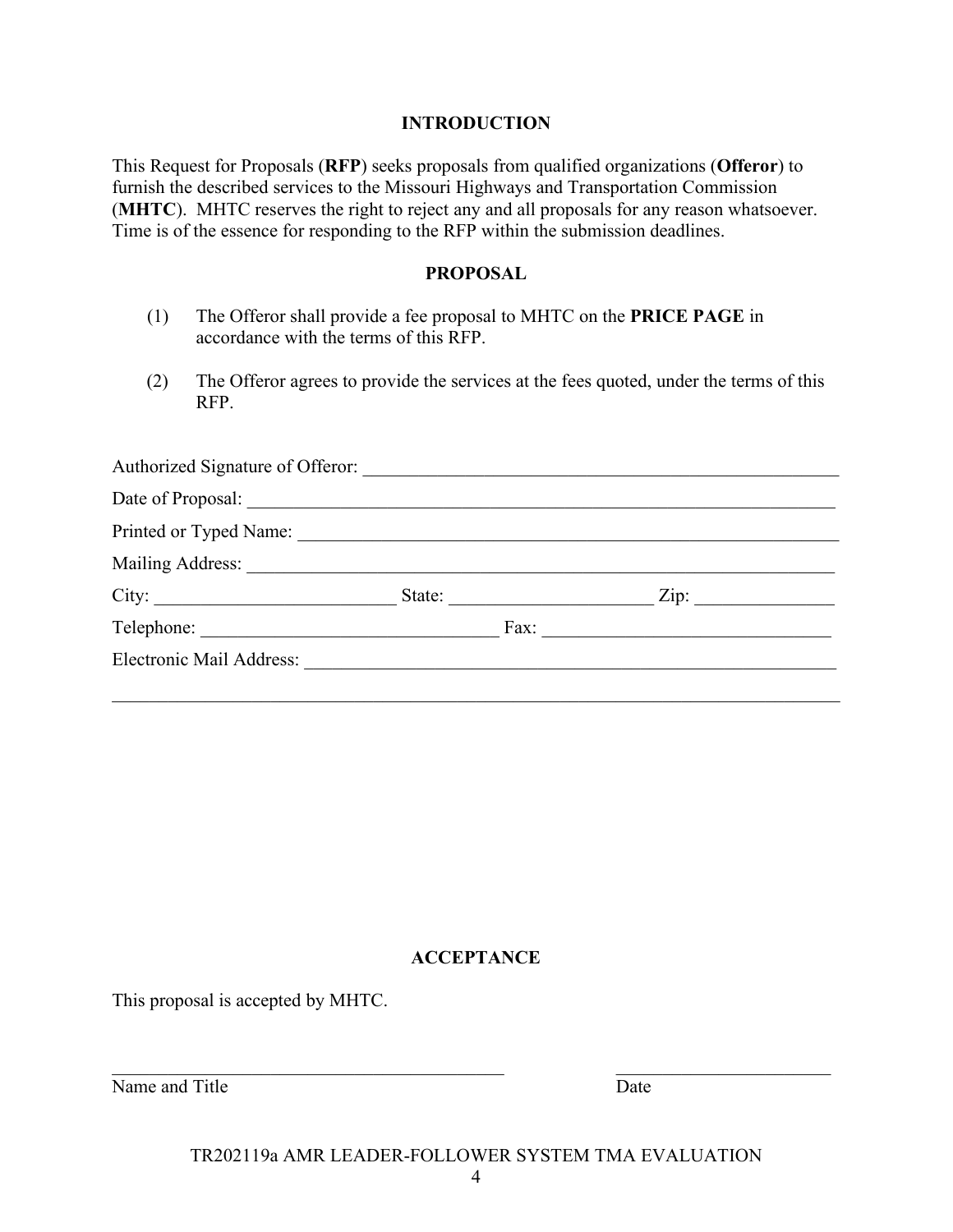#### **INTRODUCTION**

<span id="page-4-0"></span>This Request for Proposals (**RFP**) seeks proposals from qualified organizations (**Offeror**) to furnish the described services to the Missouri Highways and Transportation Commission (**MHTC**). MHTC reserves the right to reject any and all proposals for any reason whatsoever. Time is of the essence for responding to the RFP within the submission deadlines.

#### **PROPOSAL**

- <span id="page-4-1"></span>(1) The Offeror shall provide a fee proposal to MHTC on the **PRICE PAGE** in accordance with the terms of this RFP.
- (2) The Offeror agrees to provide the services at the fees quoted, under the terms of this RFP.

|                          | State:        | $\overline{\text{Zip:}}$ |
|--------------------------|---------------|--------------------------|
|                          | $\text{Fax:}$ |                          |
| Electronic Mail Address: |               |                          |
|                          |               |                          |

### **ACCEPTANCE**

<span id="page-4-2"></span>This proposal is accepted by MHTC.

Name and Title Date

TR202119a AMR LEADER-FOLLOWER SYSTEM TMA EVALUATION

 $\mathcal{L}_\text{max}$  , and the contribution of the contribution of the contribution of the contribution of the contribution of the contribution of the contribution of the contribution of the contribution of the contribution of t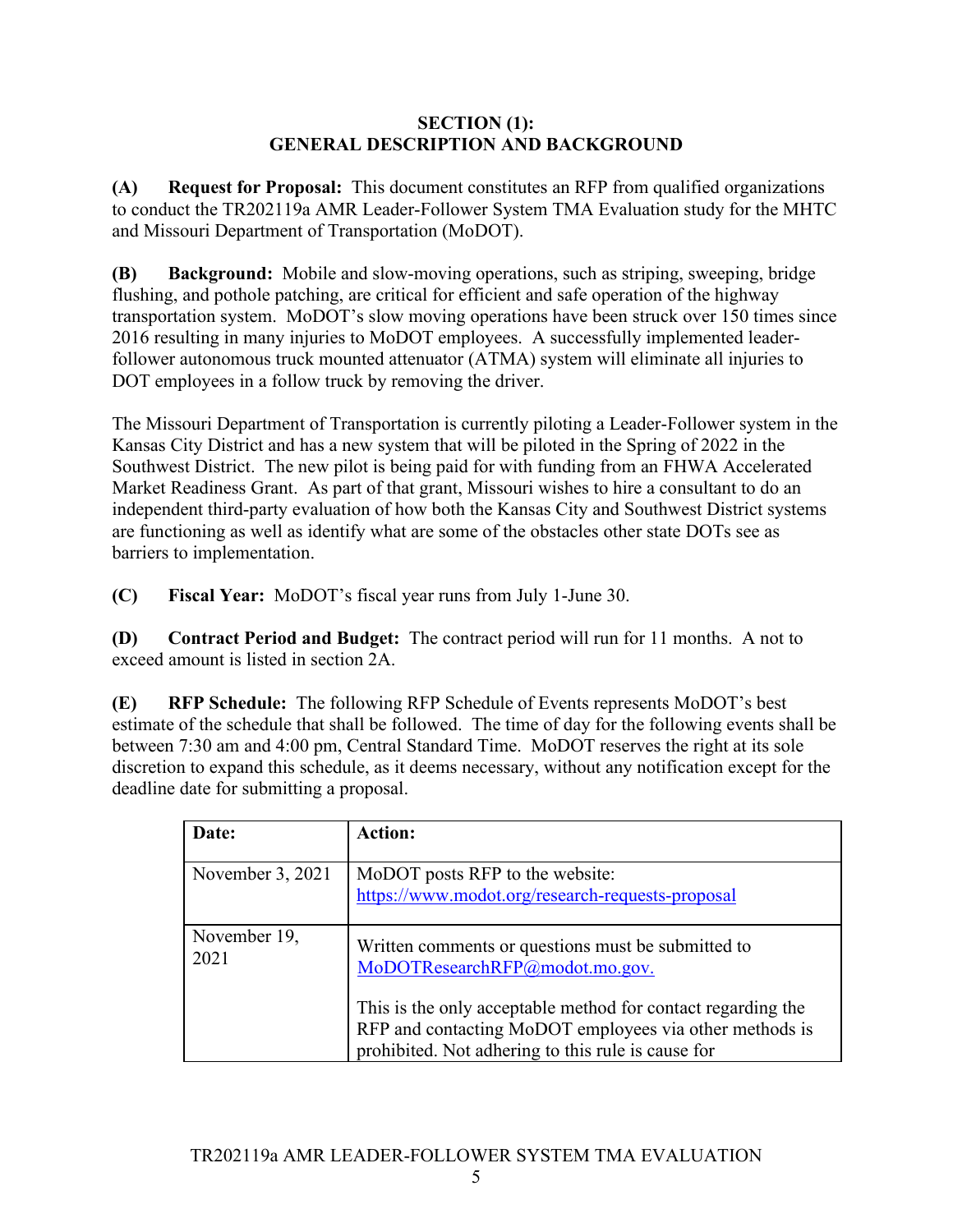### **SECTION (1): GENERAL DESCRIPTION AND BACKGROUND**

<span id="page-5-1"></span><span id="page-5-0"></span>**(A) Request for Proposal:** This document constitutes an RFP from qualified organizations to conduct the TR202119a AMR Leader-Follower System TMA Evaluation study for the MHTC and Missouri Department of Transportation (MoDOT).

<span id="page-5-2"></span>**(B) Background:** Mobile and slow-moving operations, such as striping, sweeping, bridge flushing, and pothole patching, are critical for efficient and safe operation of the highway transportation system. MoDOT's slow moving operations have been struck over 150 times since 2016 resulting in many injuries to MoDOT employees. A successfully implemented leaderfollower autonomous truck mounted attenuator (ATMA) system will eliminate all injuries to DOT employees in a follow truck by removing the driver.

The Missouri Department of Transportation is currently piloting a Leader-Follower system in the Kansas City District and has a new system that will be piloted in the Spring of 2022 in the Southwest District. The new pilot is being paid for with funding from an FHWA Accelerated Market Readiness Grant. As part of that grant, Missouri wishes to hire a consultant to do an independent third-party evaluation of how both the Kansas City and Southwest District systems are functioning as well as identify what are some of the obstacles other state DOTs see as barriers to implementation.

<span id="page-5-3"></span>**(C) Fiscal Year:** MoDOT's fiscal year runs from July 1-June 30.

<span id="page-5-4"></span>**(D) Contract Period and Budget:** The contract period will run for 11 months. A not to exceed amount is listed in section 2A.

<span id="page-5-5"></span>**(E) RFP Schedule:** The following RFP Schedule of Events represents MoDOT's best estimate of the schedule that shall be followed. The time of day for the following events shall be between 7:30 am and 4:00 pm, Central Standard Time. MoDOT reserves the right at its sole discretion to expand this schedule, as it deems necessary, without any notification except for the deadline date for submitting a proposal.

| Date:                | Action:                                                                                                                                                                       |
|----------------------|-------------------------------------------------------------------------------------------------------------------------------------------------------------------------------|
| November 3, 2021     | MoDOT posts RFP to the website:<br>https://www.modot.org/research-requests-proposal                                                                                           |
| November 19,<br>2021 | Written comments or questions must be submitted to<br>MoDOTResearchRFP@modot.mo.gov.                                                                                          |
|                      | This is the only acceptable method for contact regarding the<br>RFP and contacting MoDOT employees via other methods is<br>prohibited. Not adhering to this rule is cause for |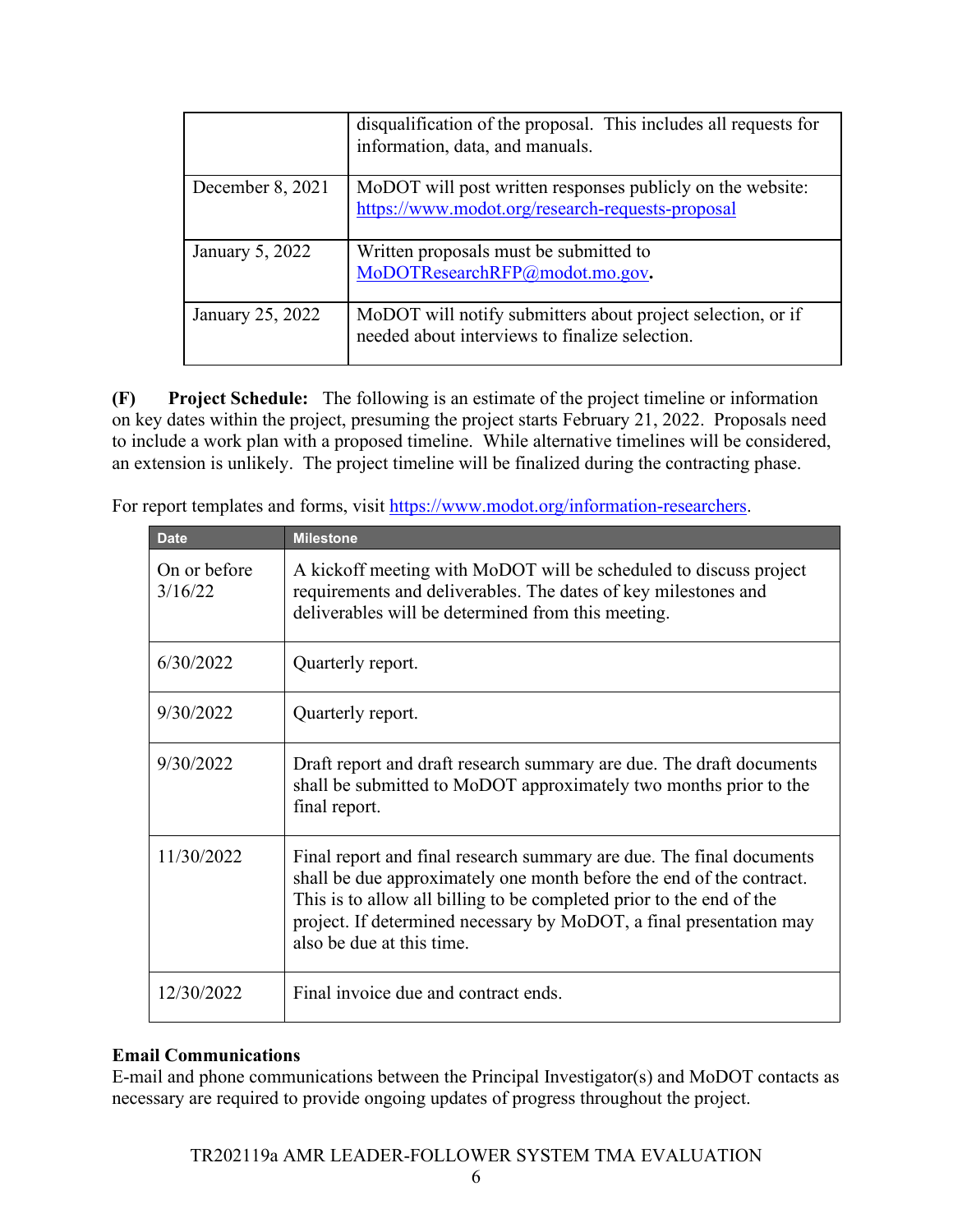|                  | disqualification of the proposal. This includes all requests for<br>information, data, and manuals.            |
|------------------|----------------------------------------------------------------------------------------------------------------|
| December 8, 2021 | MoDOT will post written responses publicly on the website:<br>https://www.modot.org/research-requests-proposal |
| January 5, 2022  | Written proposals must be submitted to<br>MoDOTResearchRFP@modot.mo.gov.                                       |
| January 25, 2022 | MoDOT will notify submitters about project selection, or if<br>needed about interviews to finalize selection.  |

<span id="page-6-0"></span>**(F) Project Schedule:** The following is an estimate of the project timeline or information on key dates within the project, presuming the project starts February 21, 2022. Proposals need to include a work plan with a proposed timeline. While alternative timelines will be considered, an extension is unlikely. The project timeline will be finalized during the contracting phase.

For report templates and forms, visit [https://www.modot.org/information-researchers.](https://www.modot.org/information-researchers)

| <b>Date</b>             | <b>Milestone</b>                                                                                                                                                                                                                                                                                                         |
|-------------------------|--------------------------------------------------------------------------------------------------------------------------------------------------------------------------------------------------------------------------------------------------------------------------------------------------------------------------|
| On or before<br>3/16/22 | A kickoff meeting with MoDOT will be scheduled to discuss project<br>requirements and deliverables. The dates of key milestones and<br>deliverables will be determined from this meeting.                                                                                                                                |
| 6/30/2022               | Quarterly report.                                                                                                                                                                                                                                                                                                        |
| 9/30/2022               | Quarterly report.                                                                                                                                                                                                                                                                                                        |
| 9/30/2022               | Draft report and draft research summary are due. The draft documents<br>shall be submitted to MoDOT approximately two months prior to the<br>final report.                                                                                                                                                               |
| 11/30/2022              | Final report and final research summary are due. The final documents<br>shall be due approximately one month before the end of the contract.<br>This is to allow all billing to be completed prior to the end of the<br>project. If determined necessary by MoDOT, a final presentation may<br>also be due at this time. |
| 12/30/2022              | Final invoice due and contract ends.                                                                                                                                                                                                                                                                                     |

### <span id="page-6-1"></span>**Email Communications**

E-mail and phone communications between the Principal Investigator(s) and MoDOT contacts as necessary are required to provide ongoing updates of progress throughout the project.

### TR202119a AMR LEADER-FOLLOWER SYSTEM TMA EVALUATION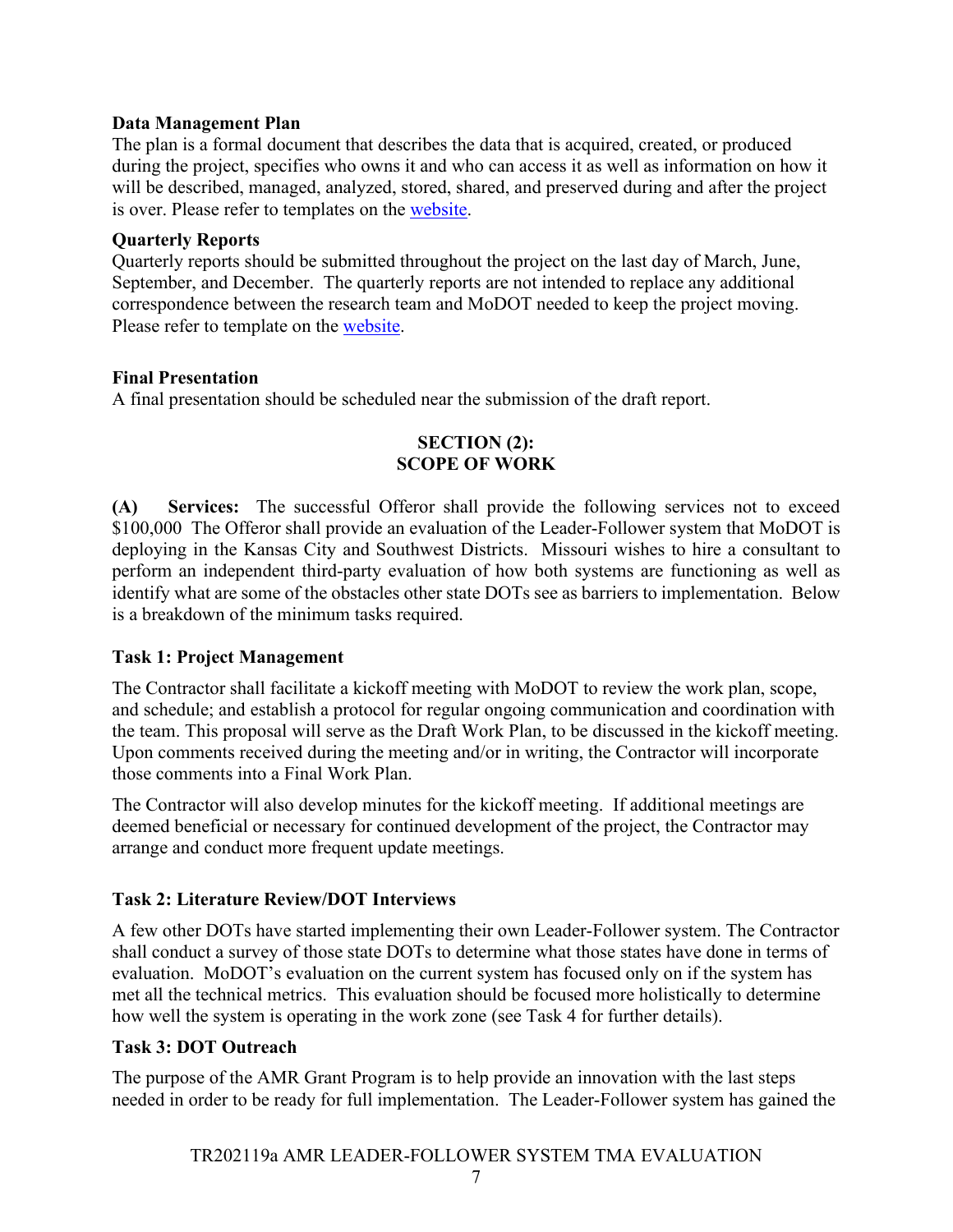#### <span id="page-7-0"></span>**Data Management Plan**

The plan is a formal document that describes the data that is acquired, created, or produced during the project, specifies who owns it and who can access it as well as information on how it will be described, managed, analyzed, stored, shared, and preserved during and after the project is over. Please refer to templates on the [website.](https://www.modot.org/information-researchers)

### <span id="page-7-1"></span>**Quarterly Reports**

Quarterly reports should be submitted throughout the project on the last day of March, June, September, and December. The quarterly reports are not intended to replace any additional correspondence between the research team and MoDOT needed to keep the project moving. Please refer to template on the [website.](https://www.modot.org/information-researchers)

### **Final Presentation**

<span id="page-7-2"></span>A final presentation should be scheduled near the submission of the draft report.

### **SECTION (2): SCOPE OF WORK**

<span id="page-7-3"></span>**(A) Services:** The successful Offeror shall provide the following services not to exceed \$100,000 The Offeror shall provide an evaluation of the Leader-Follower system that MoDOT is deploying in the Kansas City and Southwest Districts. Missouri wishes to hire a consultant to perform an independent third-party evaluation of how both systems are functioning as well as identify what are some of the obstacles other state DOTs see as barriers to implementation. Below is a breakdown of the minimum tasks required.

### <span id="page-7-4"></span>**Task 1: Project Management**

The Contractor shall facilitate a kickoff meeting with MoDOT to review the work plan, scope, and schedule; and establish a protocol for regular ongoing communication and coordination with the team. This proposal will serve as the Draft Work Plan, to be discussed in the kickoff meeting. Upon comments received during the meeting and/or in writing, the Contractor will incorporate those comments into a Final Work Plan.

The Contractor will also develop minutes for the kickoff meeting. If additional meetings are deemed beneficial or necessary for continued development of the project, the Contractor may arrange and conduct more frequent update meetings.

### <span id="page-7-5"></span>**Task 2: Literature Review/DOT Interviews**

A few other DOTs have started implementing their own Leader-Follower system. The Contractor shall conduct a survey of those state DOTs to determine what those states have done in terms of evaluation. MoDOT's evaluation on the current system has focused only on if the system has met all the technical metrics. This evaluation should be focused more holistically to determine how well the system is operating in the work zone (see Task 4 for further details).

### <span id="page-7-6"></span>**Task 3: DOT Outreach**

The purpose of the AMR Grant Program is to help provide an innovation with the last steps needed in order to be ready for full implementation. The Leader-Follower system has gained the

### TR202119a AMR LEADER-FOLLOWER SYSTEM TMA EVALUATION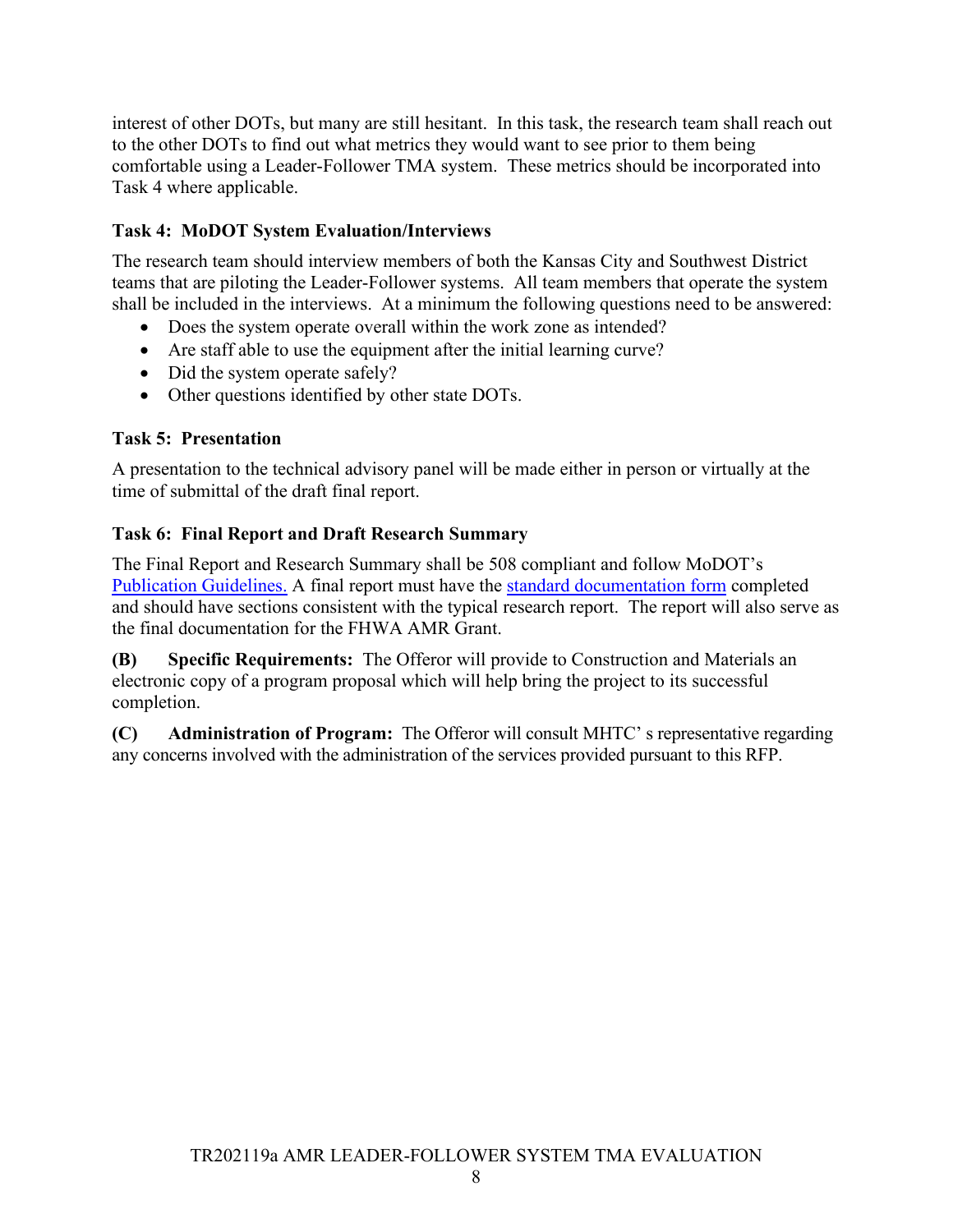interest of other DOTs, but many are still hesitant. In this task, the research team shall reach out to the other DOTs to find out what metrics they would want to see prior to them being comfortable using a Leader-Follower TMA system. These metrics should be incorporated into Task 4 where applicable.

### <span id="page-8-0"></span>**Task 4: MoDOT System Evaluation/Interviews**

The research team should interview members of both the Kansas City and Southwest District teams that are piloting the Leader-Follower systems. All team members that operate the system shall be included in the interviews. At a minimum the following questions need to be answered:

- Does the system operate overall within the work zone as intended?
- Are staff able to use the equipment after the initial learning curve?
- Did the system operate safely?
- Other questions identified by other state DOTs.

### <span id="page-8-1"></span>**Task 5: Presentation**

A presentation to the technical advisory panel will be made either in person or virtually at the time of submittal of the draft final report.

### <span id="page-8-2"></span>**Task 6: Final Report and Draft Research Summary**

The Final Report and Research Summary shall be 508 compliant and follow MoDOT's [Publication Guidelines.](https://www.modot.org/media/16219) A final report must have the [standard documentation form](https://www.modot.org/media/14008) completed and should have sections consistent with the typical research report. The report will also serve as the final documentation for the FHWA AMR Grant.

<span id="page-8-3"></span>**(B) Specific Requirements:** The Offeror will provide to Construction and Materials an electronic copy of a program proposal which will help bring the project to its successful completion.

<span id="page-8-4"></span>**(C) Administration of Program:** The Offeror will consult MHTC' s representative regarding any concerns involved with the administration of the services provided pursuant to this RFP.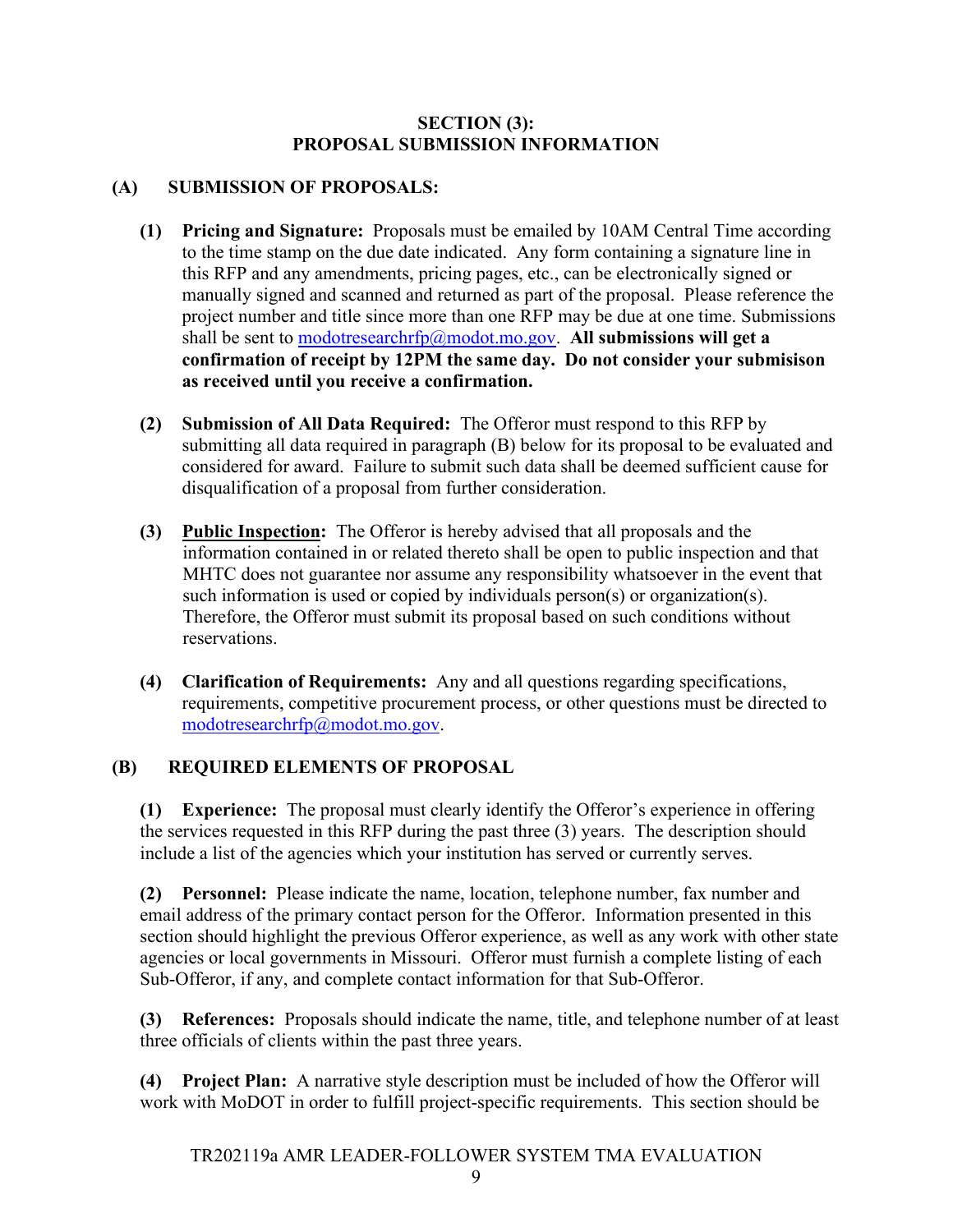#### **SECTION (3): PROPOSAL SUBMISSION INFORMATION**

### <span id="page-9-1"></span><span id="page-9-0"></span>**(A) SUBMISSION OF PROPOSALS:**

- <span id="page-9-2"></span>**(1) Pricing and Signature:** Proposals must be emailed by 10AM Central Time according to the time stamp on the due date indicated. Any form containing a signature line in this RFP and any amendments, pricing pages, etc., can be electronically signed or manually signed and scanned and returned as part of the proposal. Please reference the project number and title since more than one RFP may be due at one time. Submissions shall be sent to [modotresearchrfp@modot.mo.gov.](mailto:modotresearchrfp@modot.mo.gov) All submissions will get a **confirmation of receipt by 12PM the same day. Do not consider your submisison as received until you receive a confirmation.**
- <span id="page-9-3"></span>**(2) Submission of All Data Required:** The Offeror must respond to this RFP by submitting all data required in paragraph (B) below for its proposal to be evaluated and considered for award. Failure to submit such data shall be deemed sufficient cause for disqualification of a proposal from further consideration.
- <span id="page-9-4"></span>**(3) Public Inspection:** The Offeror is hereby advised that all proposals and the information contained in or related thereto shall be open to public inspection and that MHTC does not guarantee nor assume any responsibility whatsoever in the event that such information is used or copied by individuals person(s) or organization(s). Therefore, the Offeror must submit its proposal based on such conditions without reservations.
- <span id="page-9-5"></span>**(4) Clarification of Requirements:** Any and all questions regarding specifications, requirements, competitive procurement process, or other questions must be directed to [modotresearchrfp@modot.mo.gov.](mailto:modotresearchrfp@modot.mo.gov)

### <span id="page-9-6"></span>**(B) REQUIRED ELEMENTS OF PROPOSAL**

<span id="page-9-7"></span>**(1) Experience:** The proposal must clearly identify the Offeror's experience in offering the services requested in this RFP during the past three (3) years. The description should include a list of the agencies which your institution has served or currently serves.

<span id="page-9-8"></span>**(2) Personnel:** Please indicate the name, location, telephone number, fax number and email address of the primary contact person for the Offeror. Information presented in this section should highlight the previous Offeror experience, as well as any work with other state agencies or local governments in Missouri. Offeror must furnish a complete listing of each Sub-Offeror, if any, and complete contact information for that Sub-Offeror.

<span id="page-9-9"></span>**(3) References:** Proposals should indicate the name, title, and telephone number of at least three officials of clients within the past three years.

<span id="page-9-10"></span>**(4) Project Plan:** A narrative style description must be included of how the Offeror will work with MoDOT in order to fulfill project-specific requirements. This section should be

TR202119a AMR LEADER-FOLLOWER SYSTEM TMA EVALUATION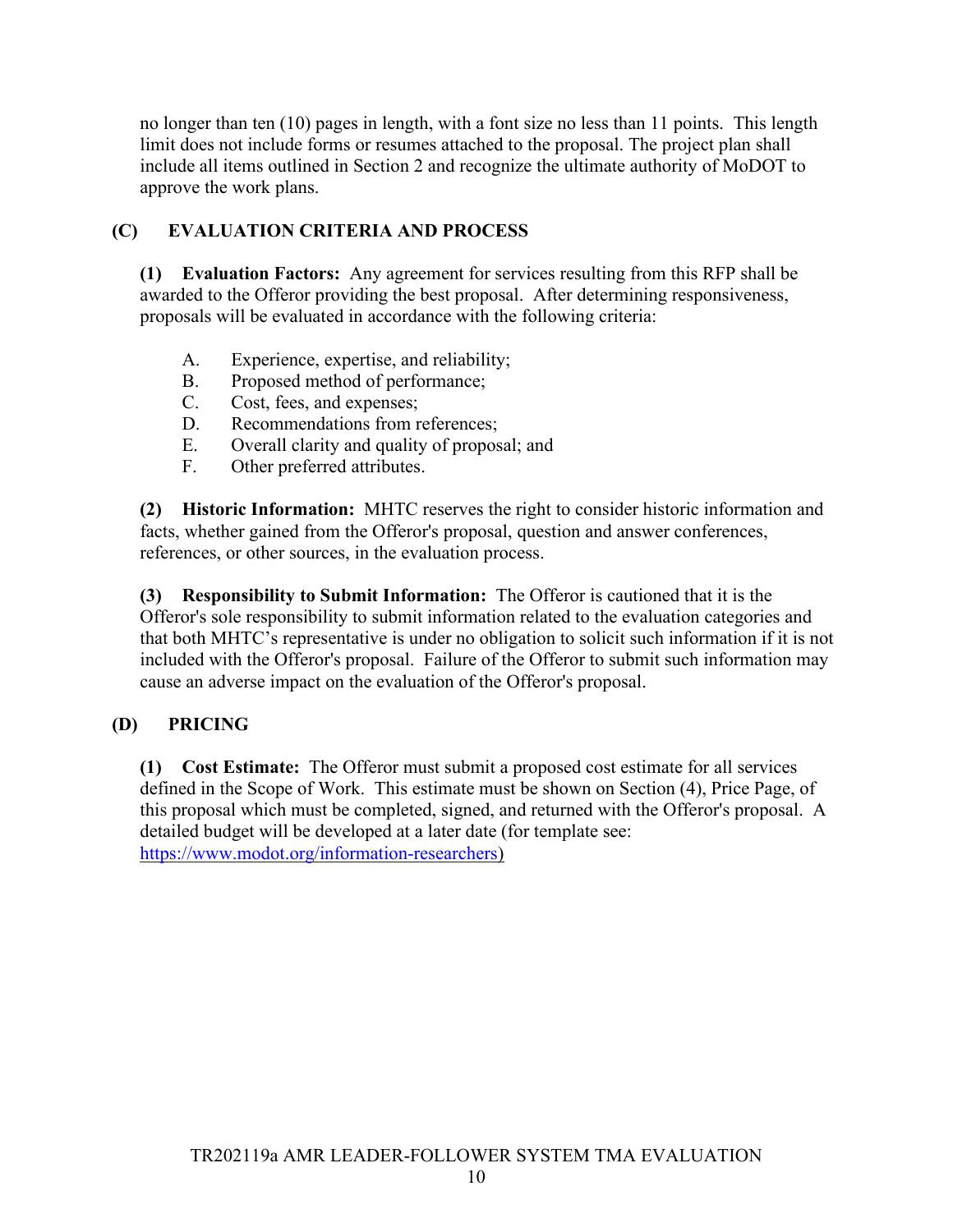no longer than ten (10) pages in length, with a font size no less than 11 points. This length limit does not include forms or resumes attached to the proposal. The project plan shall include all items outlined in Section 2 and recognize the ultimate authority of MoDOT to approve the work plans.

### <span id="page-10-0"></span>**(C) EVALUATION CRITERIA AND PROCESS**

<span id="page-10-1"></span>**(1) Evaluation Factors:** Any agreement for services resulting from this RFP shall be awarded to the Offeror providing the best proposal. After determining responsiveness, proposals will be evaluated in accordance with the following criteria:

- A. Experience, expertise, and reliability;
- B. Proposed method of performance;
- C. Cost, fees, and expenses;
- D. Recommendations from references:
- E. Overall clarity and quality of proposal; and
- F. Other preferred attributes.

<span id="page-10-2"></span>**(2) Historic Information:** MHTC reserves the right to consider historic information and facts, whether gained from the Offeror's proposal, question and answer conferences, references, or other sources, in the evaluation process.

<span id="page-10-3"></span>**(3) Responsibility to Submit Information:** The Offeror is cautioned that it is the Offeror's sole responsibility to submit information related to the evaluation categories and that both MHTC's representative is under no obligation to solicit such information if it is not included with the Offeror's proposal. Failure of the Offeror to submit such information may cause an adverse impact on the evaluation of the Offeror's proposal.

### <span id="page-10-4"></span>**(D) PRICING**

<span id="page-10-5"></span>**(1) Cost Estimate:** The Offeror must submit a proposed cost estimate for all services defined in the Scope of Work. This estimate must be shown on Section (4), Price Page, of this proposal which must be completed, signed, and returned with the Offeror's proposal. A detailed budget will be developed at a later date (for template see: [https://www.modot.org/information-researchers\)](https://www.modot.org/information-researchers)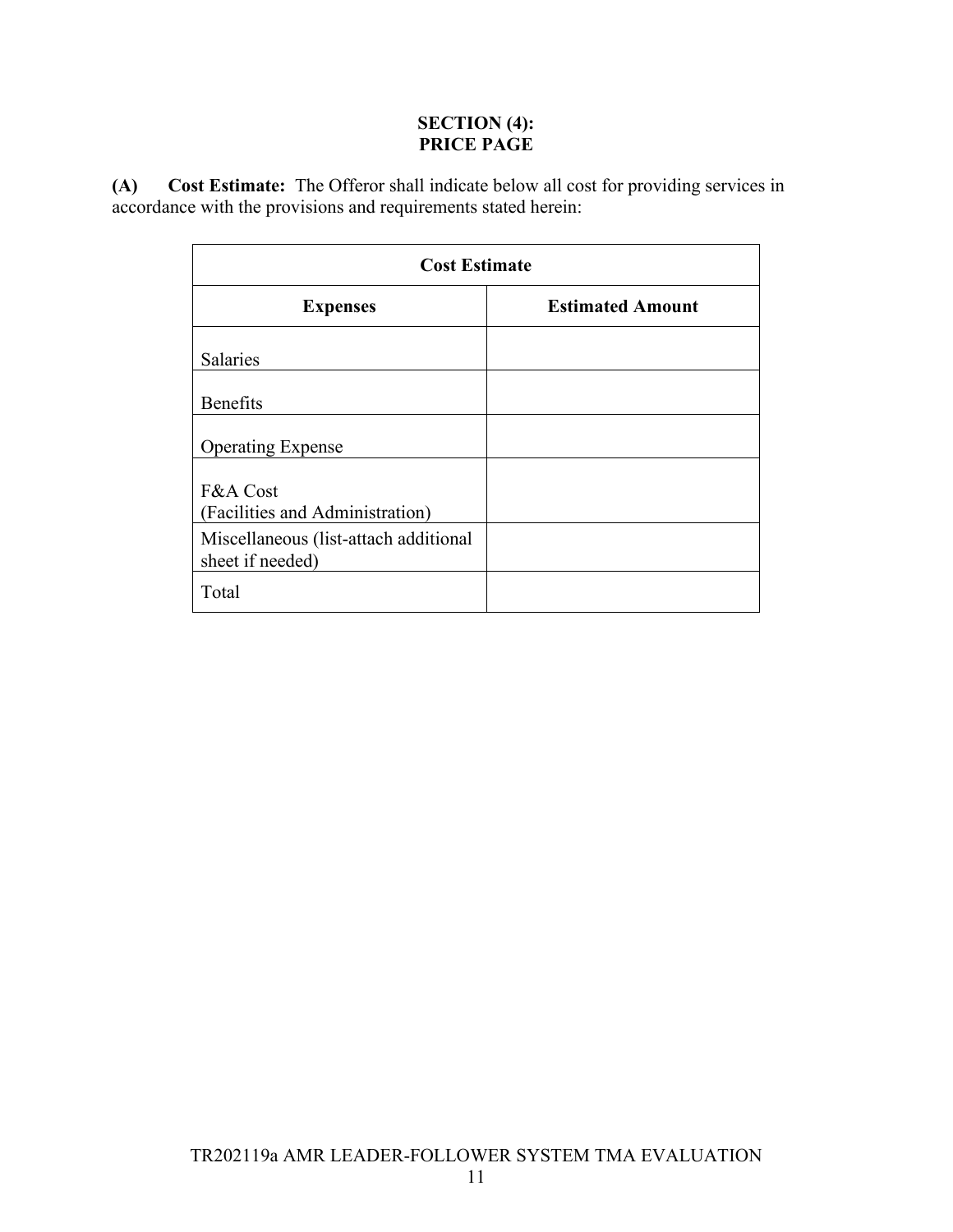### **SECTION (4): PRICE PAGE**

<span id="page-11-1"></span><span id="page-11-0"></span>**(A) Cost Estimate:** The Offeror shall indicate below all cost for providing services in accordance with the provisions and requirements stated herein:

| <b>Cost Estimate</b>                                      |                         |  |
|-----------------------------------------------------------|-------------------------|--|
| <b>Expenses</b>                                           | <b>Estimated Amount</b> |  |
| <b>Salaries</b>                                           |                         |  |
| <b>Benefits</b>                                           |                         |  |
| <b>Operating Expense</b>                                  |                         |  |
| F&A Cost<br>(Facilities and Administration)               |                         |  |
| Miscellaneous (list-attach additional<br>sheet if needed) |                         |  |
| Total                                                     |                         |  |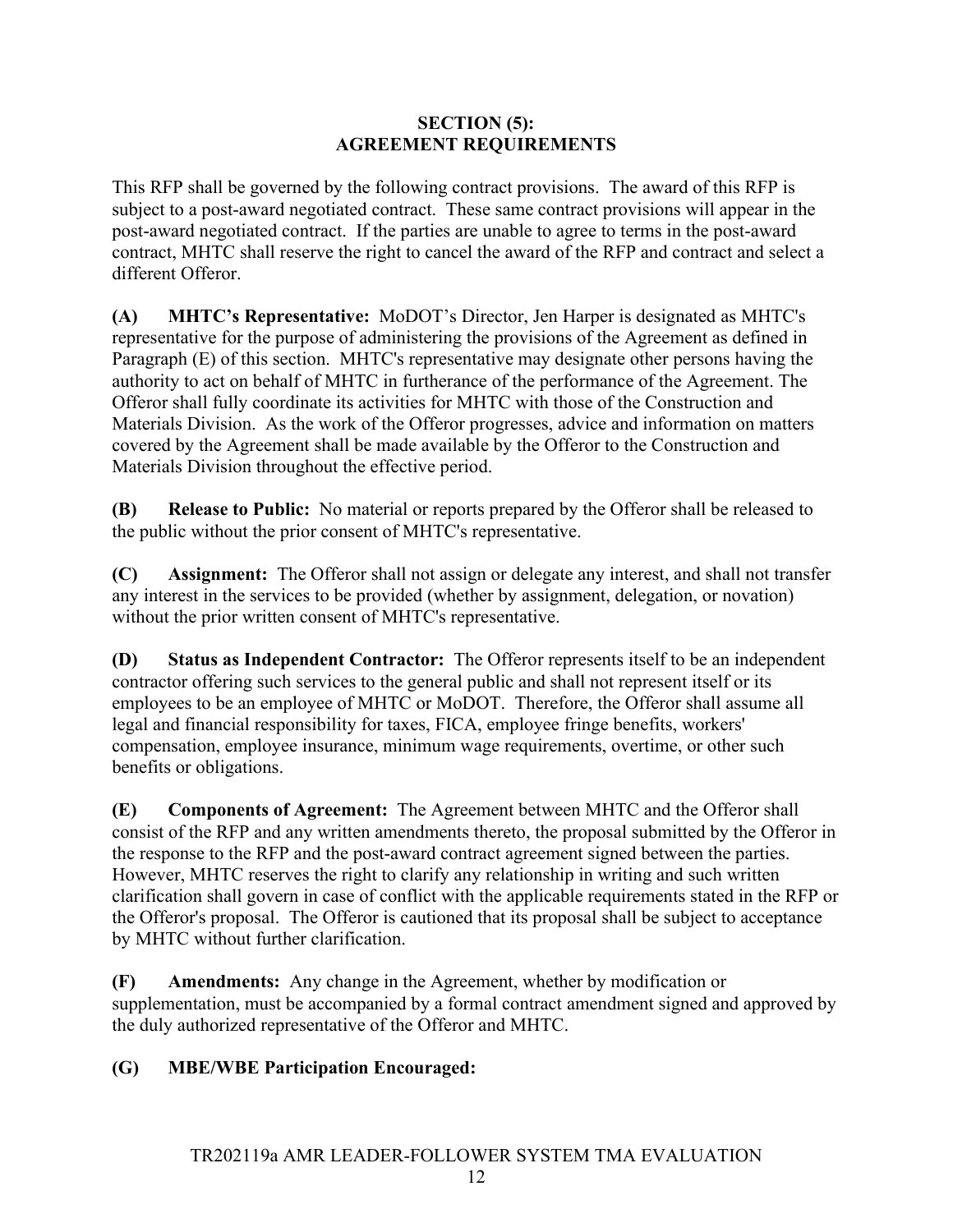### **SECTION (5): AGREEMENT REQUIREMENTS**

<span id="page-12-0"></span>This RFP shall be governed by the following contract provisions. The award of this RFP is subject to a post-award negotiated contract. These same contract provisions will appear in the post-award negotiated contract. If the parties are unable to agree to terms in the post-award contract, MHTC shall reserve the right to cancel the award of the RFP and contract and select a different Offeror.

<span id="page-12-1"></span>**(A) MHTC's Representative:** MoDOT's Director, Jen Harper is designated as MHTC's representative for the purpose of administering the provisions of the Agreement as defined in Paragraph (E) of this section. MHTC's representative may designate other persons having the authority to act on behalf of MHTC in furtherance of the performance of the Agreement. The Offeror shall fully coordinate its activities for MHTC with those of the Construction and Materials Division. As the work of the Offeror progresses, advice and information on matters covered by the Agreement shall be made available by the Offeror to the Construction and Materials Division throughout the effective period.

<span id="page-12-2"></span>**(B) Release to Public:** No material or reports prepared by the Offeror shall be released to the public without the prior consent of MHTC's representative.

<span id="page-12-3"></span>**(C) Assignment:** The Offeror shall not assign or delegate any interest, and shall not transfer any interest in the services to be provided (whether by assignment, delegation, or novation) without the prior written consent of MHTC's representative.

<span id="page-12-4"></span>**(D) Status as Independent Contractor:** The Offeror represents itself to be an independent contractor offering such services to the general public and shall not represent itself or its employees to be an employee of MHTC or MoDOT. Therefore, the Offeror shall assume all legal and financial responsibility for taxes, FICA, employee fringe benefits, workers' compensation, employee insurance, minimum wage requirements, overtime, or other such benefits or obligations.

<span id="page-12-5"></span>**(E) Components of Agreement:** The Agreement between MHTC and the Offeror shall consist of the RFP and any written amendments thereto, the proposal submitted by the Offeror in the response to the RFP and the post-award contract agreement signed between the parties. However, MHTC reserves the right to clarify any relationship in writing and such written clarification shall govern in case of conflict with the applicable requirements stated in the RFP or the Offeror's proposal. The Offeror is cautioned that its proposal shall be subject to acceptance by MHTC without further clarification.

<span id="page-12-6"></span>**(F) Amendments:** Any change in the Agreement, whether by modification or supplementation, must be accompanied by a formal contract amendment signed and approved by the duly authorized representative of the Offeror and MHTC.

### <span id="page-12-7"></span>**(G) MBE/WBE Participation Encouraged:**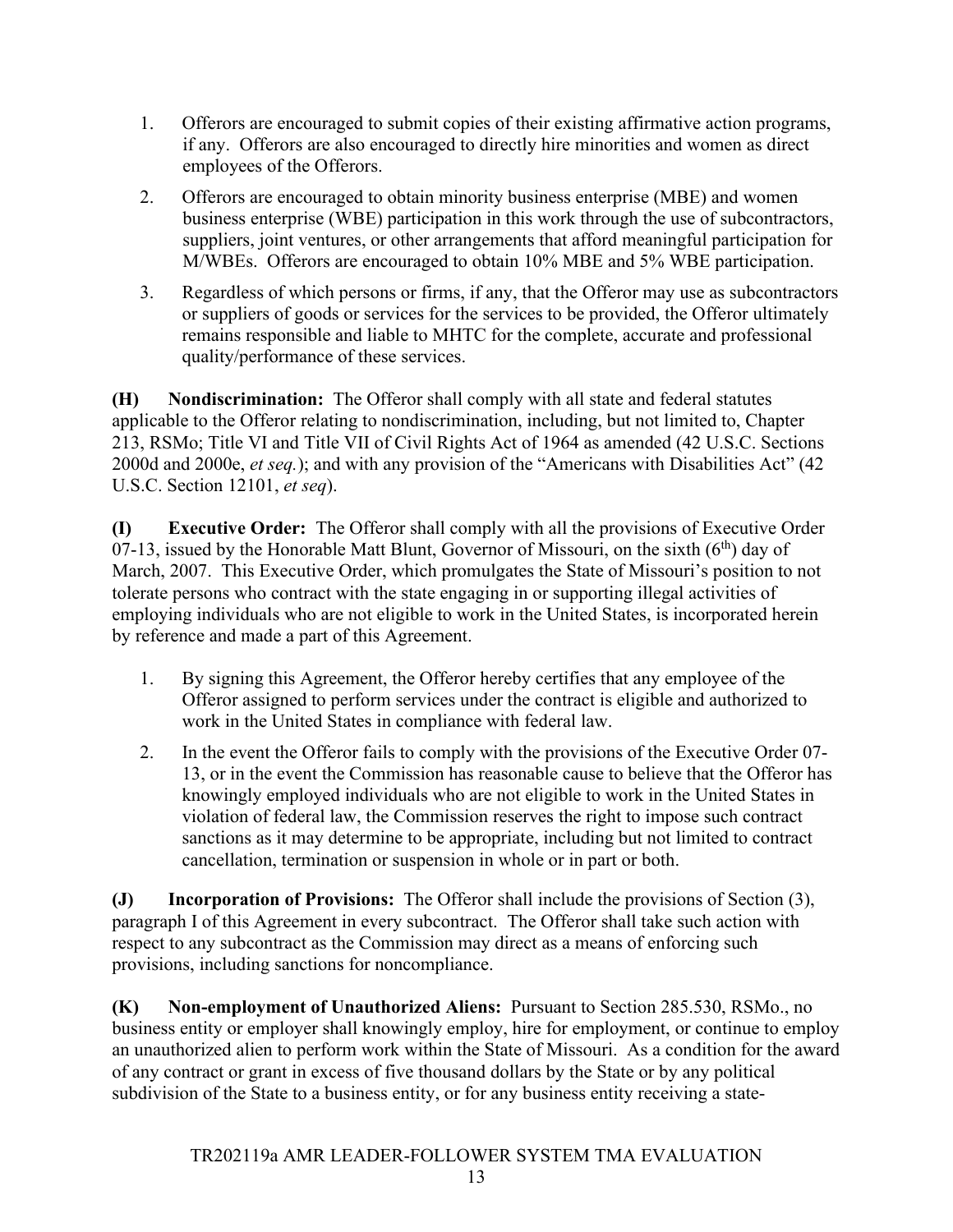- 1. Offerors are encouraged to submit copies of their existing affirmative action programs, if any. Offerors are also encouraged to directly hire minorities and women as direct employees of the Offerors.
- 2. Offerors are encouraged to obtain minority business enterprise (MBE) and women business enterprise (WBE) participation in this work through the use of subcontractors, suppliers, joint ventures, or other arrangements that afford meaningful participation for M/WBEs. Offerors are encouraged to obtain 10% MBE and 5% WBE participation.
- 3. Regardless of which persons or firms, if any, that the Offeror may use as subcontractors or suppliers of goods or services for the services to be provided, the Offeror ultimately remains responsible and liable to MHTC for the complete, accurate and professional quality/performance of these services.

<span id="page-13-0"></span>**(H) Nondiscrimination:** The Offeror shall comply with all state and federal statutes applicable to the Offeror relating to nondiscrimination, including, but not limited to, Chapter 213, RSMo; Title VI and Title VII of Civil Rights Act of 1964 as amended (42 U.S.C. Sections 2000d and 2000e, *et seq.*); and with any provision of the "Americans with Disabilities Act" (42 U.S.C. Section 12101, *et seq*).

<span id="page-13-1"></span>**(I) Executive Order:** The Offeror shall comply with all the provisions of Executive Order 07-13, issued by the Honorable Matt Blunt, Governor of Missouri, on the sixth  $(6<sup>th</sup>)$  day of March, 2007. This Executive Order, which promulgates the State of Missouri's position to not tolerate persons who contract with the state engaging in or supporting illegal activities of employing individuals who are not eligible to work in the United States, is incorporated herein by reference and made a part of this Agreement.

- 1. By signing this Agreement, the Offeror hereby certifies that any employee of the Offeror assigned to perform services under the contract is eligible and authorized to work in the United States in compliance with federal law.
- 2. In the event the Offeror fails to comply with the provisions of the Executive Order 07- 13, or in the event the Commission has reasonable cause to believe that the Offeror has knowingly employed individuals who are not eligible to work in the United States in violation of federal law, the Commission reserves the right to impose such contract sanctions as it may determine to be appropriate, including but not limited to contract cancellation, termination or suspension in whole or in part or both.

<span id="page-13-2"></span>**(J) Incorporation of Provisions:** The Offeror shall include the provisions of Section (3), paragraph I of this Agreement in every subcontract. The Offeror shall take such action with respect to any subcontract as the Commission may direct as a means of enforcing such provisions, including sanctions for noncompliance.

<span id="page-13-3"></span>**(K) Non-employment of Unauthorized Aliens:** Pursuant to Section 285.530, RSMo., no business entity or employer shall knowingly employ, hire for employment, or continue to employ an unauthorized alien to perform work within the State of Missouri. As a condition for the award of any contract or grant in excess of five thousand dollars by the State or by any political subdivision of the State to a business entity, or for any business entity receiving a state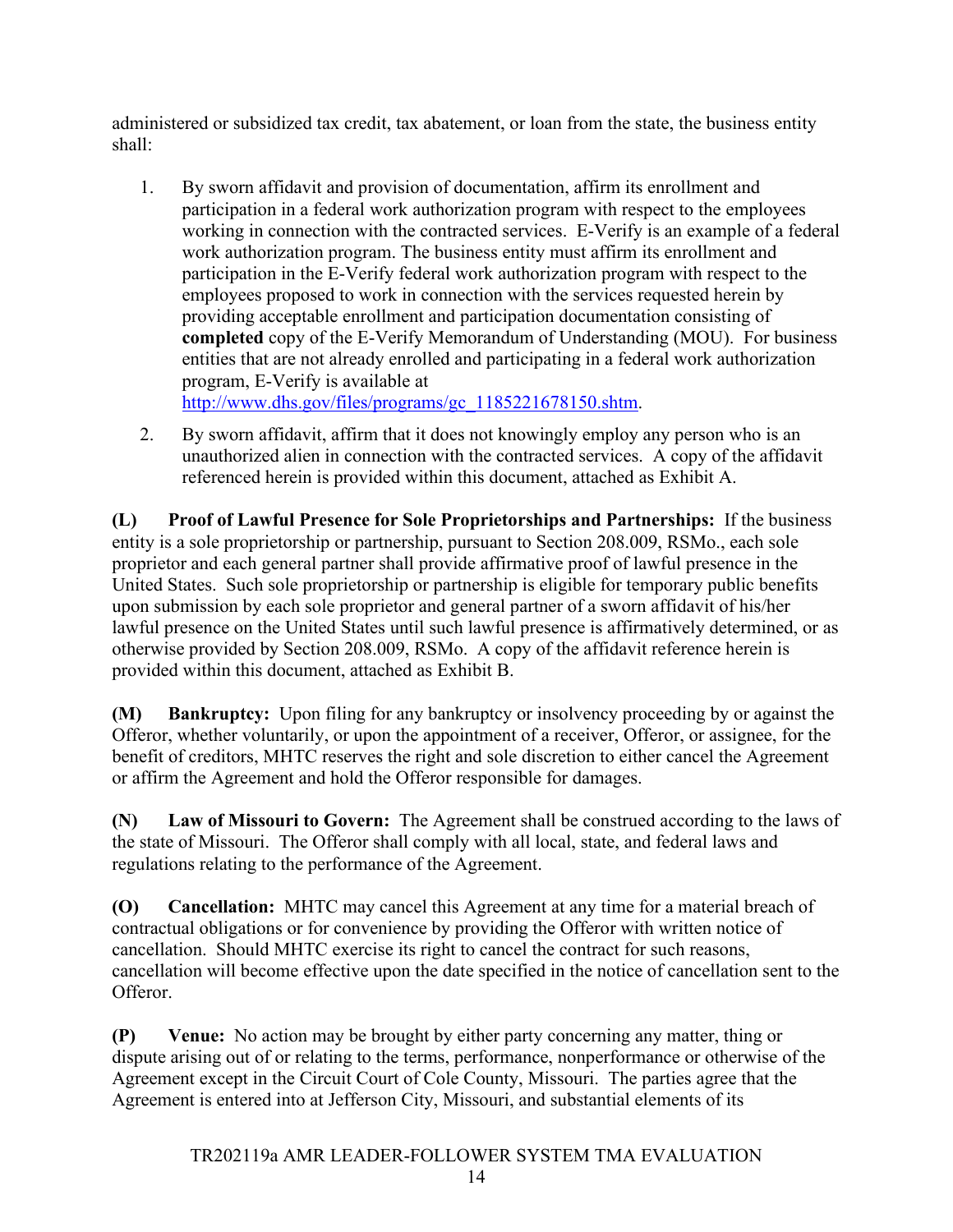administered or subsidized tax credit, tax abatement, or loan from the state, the business entity shall:

1. By sworn affidavit and provision of documentation, affirm its enrollment and participation in a federal work authorization program with respect to the employees working in connection with the contracted services. E-Verify is an example of a federal work authorization program. The business entity must affirm its enrollment and participation in the E-Verify federal work authorization program with respect to the employees proposed to work in connection with the services requested herein by providing acceptable enrollment and participation documentation consisting of **completed** copy of the E-Verify Memorandum of Understanding (MOU). For business entities that are not already enrolled and participating in a federal work authorization program, E-Verify is available at

[http://www.dhs.gov/files/programs/gc\\_1185221678150.shtm.](http://www.dhs.gov/files/programs/gc_1185221678150.shtm)

2. By sworn affidavit, affirm that it does not knowingly employ any person who is an unauthorized alien in connection with the contracted services. A copy of the affidavit referenced herein is provided within this document, attached as Exhibit A.

<span id="page-14-0"></span>**(L) Proof of Lawful Presence for Sole Proprietorships and Partnerships:** If the business entity is a sole proprietorship or partnership, pursuant to Section 208.009, RSMo., each sole proprietor and each general partner shall provide affirmative proof of lawful presence in the United States. Such sole proprietorship or partnership is eligible for temporary public benefits upon submission by each sole proprietor and general partner of a sworn affidavit of his/her lawful presence on the United States until such lawful presence is affirmatively determined, or as otherwise provided by Section 208.009, RSMo. A copy of the affidavit reference herein is provided within this document, attached as Exhibit B.

<span id="page-14-1"></span>**(M) Bankruptcy:** Upon filing for any bankruptcy or insolvency proceeding by or against the Offeror, whether voluntarily, or upon the appointment of a receiver, Offeror, or assignee, for the benefit of creditors, MHTC reserves the right and sole discretion to either cancel the Agreement or affirm the Agreement and hold the Offeror responsible for damages.

<span id="page-14-2"></span>**(N) Law of Missouri to Govern:** The Agreement shall be construed according to the laws of the state of Missouri. The Offeror shall comply with all local, state, and federal laws and regulations relating to the performance of the Agreement.

<span id="page-14-3"></span>**(O) Cancellation:** MHTC may cancel this Agreement at any time for a material breach of contractual obligations or for convenience by providing the Offeror with written notice of cancellation. Should MHTC exercise its right to cancel the contract for such reasons, cancellation will become effective upon the date specified in the notice of cancellation sent to the Offeror.

<span id="page-14-4"></span>**(P) Venue:** No action may be brought by either party concerning any matter, thing or dispute arising out of or relating to the terms, performance, nonperformance or otherwise of the Agreement except in the Circuit Court of Cole County, Missouri. The parties agree that the Agreement is entered into at Jefferson City, Missouri, and substantial elements of its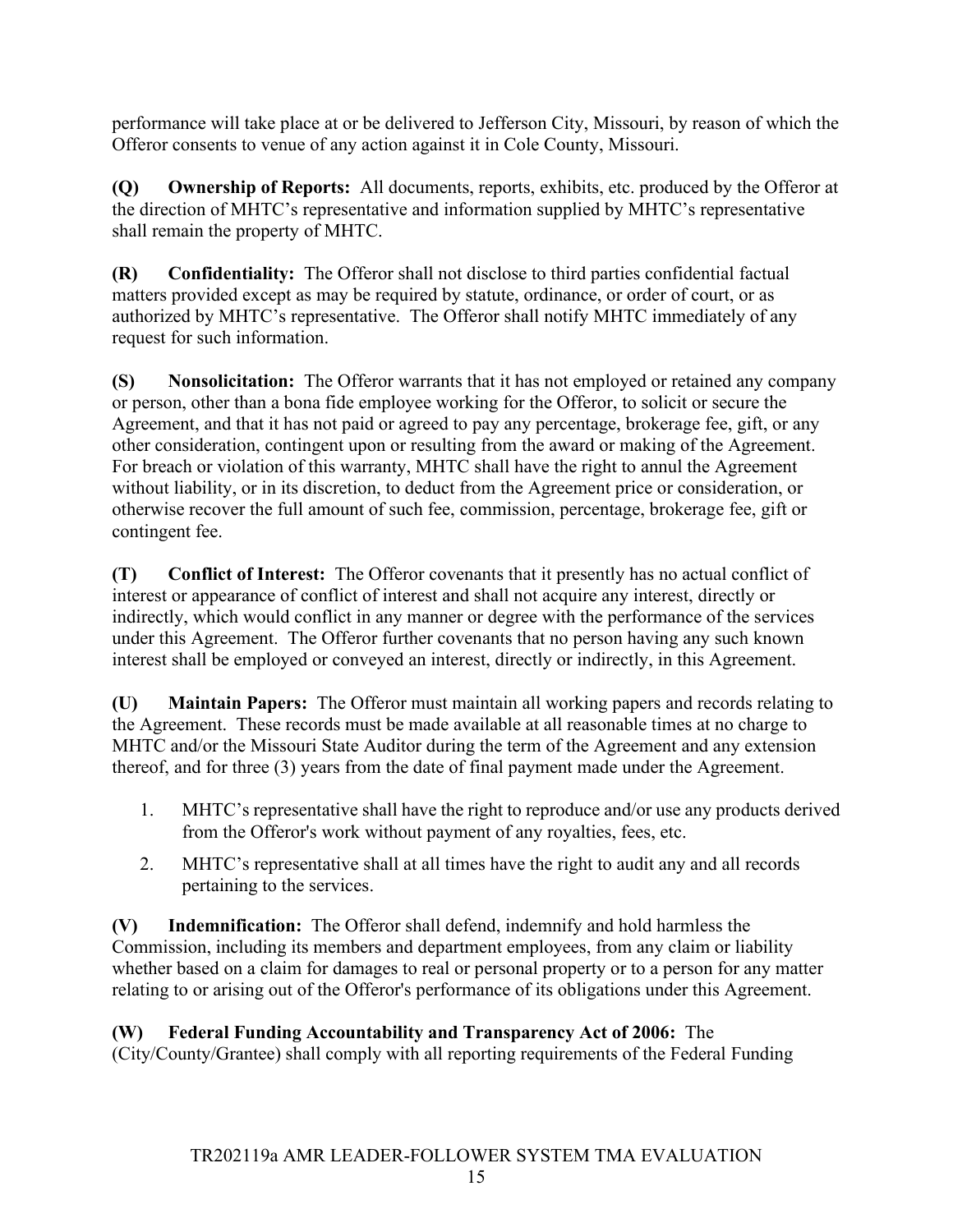performance will take place at or be delivered to Jefferson City, Missouri, by reason of which the Offeror consents to venue of any action against it in Cole County, Missouri.

<span id="page-15-0"></span>**(Q) Ownership of Reports:** All documents, reports, exhibits, etc. produced by the Offeror at the direction of MHTC's representative and information supplied by MHTC's representative shall remain the property of MHTC.

<span id="page-15-1"></span>**(R) Confidentiality:** The Offeror shall not disclose to third parties confidential factual matters provided except as may be required by statute, ordinance, or order of court, or as authorized by MHTC's representative. The Offeror shall notify MHTC immediately of any request for such information.

<span id="page-15-2"></span>**(S) Nonsolicitation:** The Offeror warrants that it has not employed or retained any company or person, other than a bona fide employee working for the Offeror, to solicit or secure the Agreement, and that it has not paid or agreed to pay any percentage, brokerage fee, gift, or any other consideration, contingent upon or resulting from the award or making of the Agreement. For breach or violation of this warranty, MHTC shall have the right to annul the Agreement without liability, or in its discretion, to deduct from the Agreement price or consideration, or otherwise recover the full amount of such fee, commission, percentage, brokerage fee, gift or contingent fee.

<span id="page-15-3"></span>**(T) Conflict of Interest:** The Offeror covenants that it presently has no actual conflict of interest or appearance of conflict of interest and shall not acquire any interest, directly or indirectly, which would conflict in any manner or degree with the performance of the services under this Agreement. The Offeror further covenants that no person having any such known interest shall be employed or conveyed an interest, directly or indirectly, in this Agreement.

<span id="page-15-4"></span>**(U) Maintain Papers:** The Offeror must maintain all working papers and records relating to the Agreement. These records must be made available at all reasonable times at no charge to MHTC and/or the Missouri State Auditor during the term of the Agreement and any extension thereof, and for three (3) years from the date of final payment made under the Agreement.

- 1. MHTC's representative shall have the right to reproduce and/or use any products derived from the Offeror's work without payment of any royalties, fees, etc.
- 2. MHTC's representative shall at all times have the right to audit any and all records pertaining to the services.

<span id="page-15-5"></span>**(V) Indemnification:** The Offeror shall defend, indemnify and hold harmless the Commission, including its members and department employees, from any claim or liability whether based on a claim for damages to real or personal property or to a person for any matter relating to or arising out of the Offeror's performance of its obligations under this Agreement.

# <span id="page-15-6"></span>**(W) Federal Funding Accountability and Transparency Act of 2006:** The

(City/County/Grantee) shall comply with all reporting requirements of the Federal Funding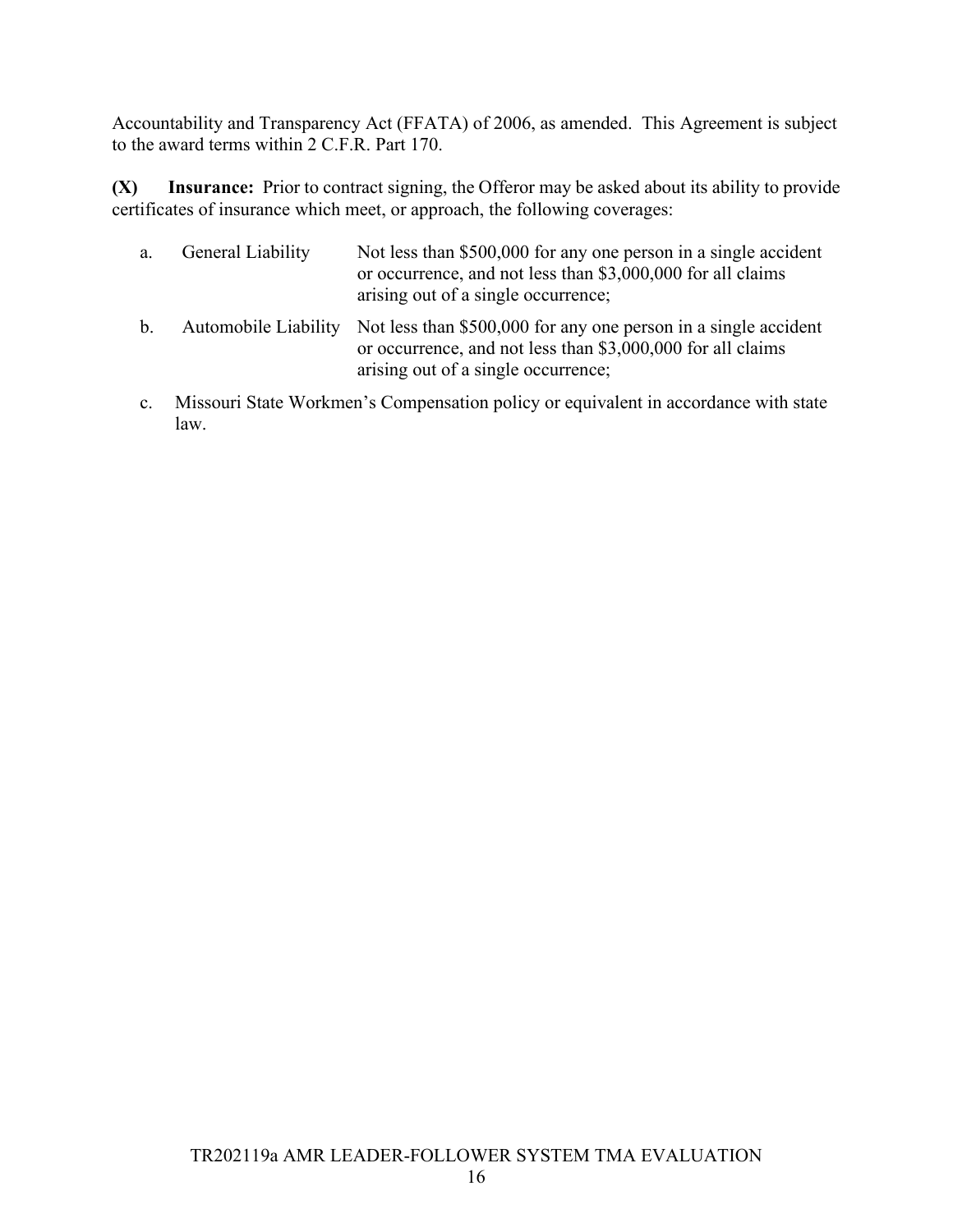Accountability and Transparency Act (FFATA) of 2006, as amended. This Agreement is subject to the award terms within 2 C.F.R. Part 170.

<span id="page-16-0"></span>**(X) Insurance:** Prior to contract signing, the Offeror may be asked about its ability to provide certificates of insurance which meet, or approach, the following coverages:

| а. | General Liability | Not less than \$500,000 for any one person in a single accident<br>or occurrence, and not less than \$3,000,000 for all claims<br>arising out of a single occurrence;                      |
|----|-------------------|--------------------------------------------------------------------------------------------------------------------------------------------------------------------------------------------|
| b. |                   | Automobile Liability Not less than \$500,000 for any one person in a single accident<br>or occurrence, and not less than \$3,000,000 for all claims<br>arising out of a single occurrence; |

c. Missouri State Workmen's Compensation policy or equivalent in accordance with state law.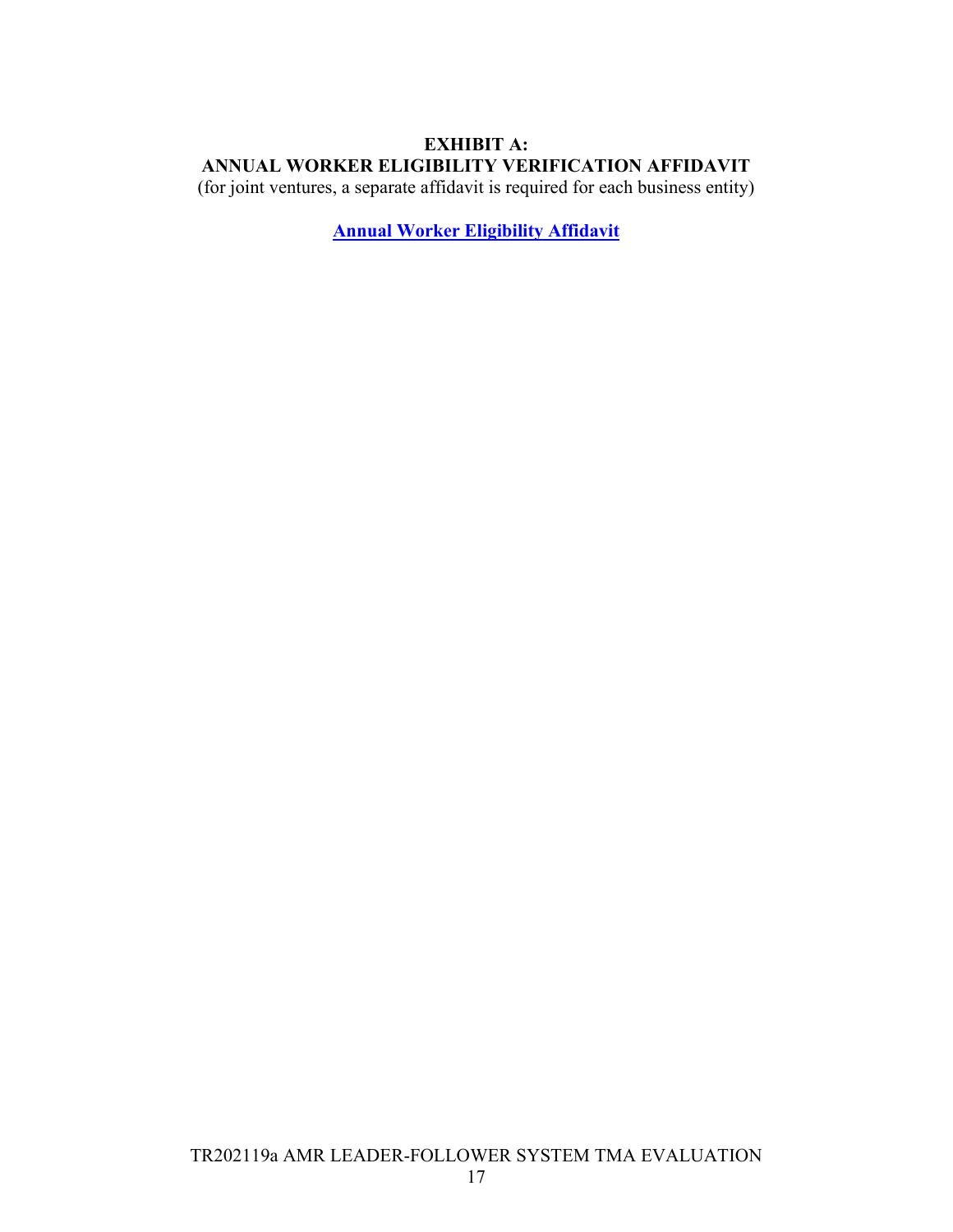### <span id="page-17-0"></span>**EXHIBIT A: ANNUAL WORKER ELIGIBILITY VERIFICATION AFFIDAVIT**

(for joint ventures, a separate affidavit is required for each business entity)

**[Annual Worker Eligibility Affidavit](https://www.modot.org/media/12110)**